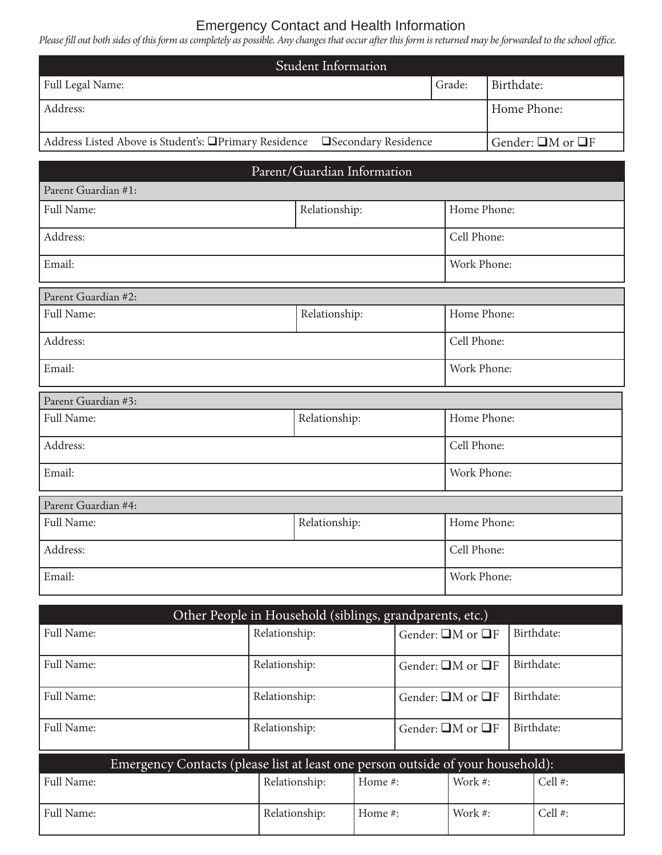## Emergency Contact and Health Information

Please fill out both sides of this form as completely as possible. Any changes that occur after this form is returned may be forwarded to the school office.

| <b>Student Information</b>                                                                 |               |             |                              |  |  |  |  |  |
|--------------------------------------------------------------------------------------------|---------------|-------------|------------------------------|--|--|--|--|--|
| Full Legal Name:                                                                           |               |             | Birthdate:                   |  |  |  |  |  |
| Address:                                                                                   |               |             | Home Phone:                  |  |  |  |  |  |
| Address Listed Above is Student's: <b>QPrimary Residence</b><br><b>Secondary Residence</b> |               |             | Gender: $\Box M$ or $\Box F$ |  |  |  |  |  |
| Parent/Guardian Information                                                                |               |             |                              |  |  |  |  |  |
| Parent Guardian #1:                                                                        |               |             |                              |  |  |  |  |  |
| Full Name:                                                                                 | Relationship: |             | Home Phone:                  |  |  |  |  |  |
| Address:                                                                                   |               |             | Cell Phone:                  |  |  |  |  |  |
| Email:                                                                                     |               |             | Work Phone:                  |  |  |  |  |  |
| Parent Guardian #2:                                                                        |               |             |                              |  |  |  |  |  |
| Full Name:                                                                                 | Relationship: |             | Home Phone:                  |  |  |  |  |  |
| Address:                                                                                   |               | Cell Phone: |                              |  |  |  |  |  |
| Email:                                                                                     |               |             | Work Phone:                  |  |  |  |  |  |
| Parent Guardian #3:                                                                        |               |             |                              |  |  |  |  |  |
| Full Name:                                                                                 | Relationship: |             | Home Phone:                  |  |  |  |  |  |
| Address:                                                                                   |               |             | Cell Phone:                  |  |  |  |  |  |
| Email:                                                                                     |               |             | Work Phone:                  |  |  |  |  |  |
| Parent Guardian #4:                                                                        |               |             |                              |  |  |  |  |  |
| Full Name:                                                                                 | Relationship: |             | Home Phone:                  |  |  |  |  |  |
| Address:                                                                                   |               | Cell Phone: |                              |  |  |  |  |  |
| Email:                                                                                     |               | Work Phone: |                              |  |  |  |  |  |

| Other People in Household (siblings, grandparents, etc.)                        |               |            |                              |            |            |            |  |
|---------------------------------------------------------------------------------|---------------|------------|------------------------------|------------|------------|------------|--|
| Full Name:                                                                      | Relationship: |            | Gender: $\Box M$ or $\Box F$ |            | Birthdate: |            |  |
| Full Name:                                                                      | Relationship: |            | Gender: $\Box M$ or $\Box F$ |            | Birthdate: |            |  |
| Full Name:                                                                      | Relationship: |            | Gender: $\Box M$ or $\Box F$ |            | Birthdate: |            |  |
| Full Name:                                                                      | Relationship: |            | Gender: $\Box M$ or $\Box F$ |            |            | Birthdate: |  |
| Emergency Contacts (please list at least one person outside of your household): |               |            |                              |            |            |            |  |
| Full Name:                                                                      | Relationship: | Home $#$ : |                              | Work $#$ : |            | Cell #:    |  |
| Full Name:                                                                      | Relationship: | Home #:    |                              | Work $#$ : |            | Cell #:    |  |